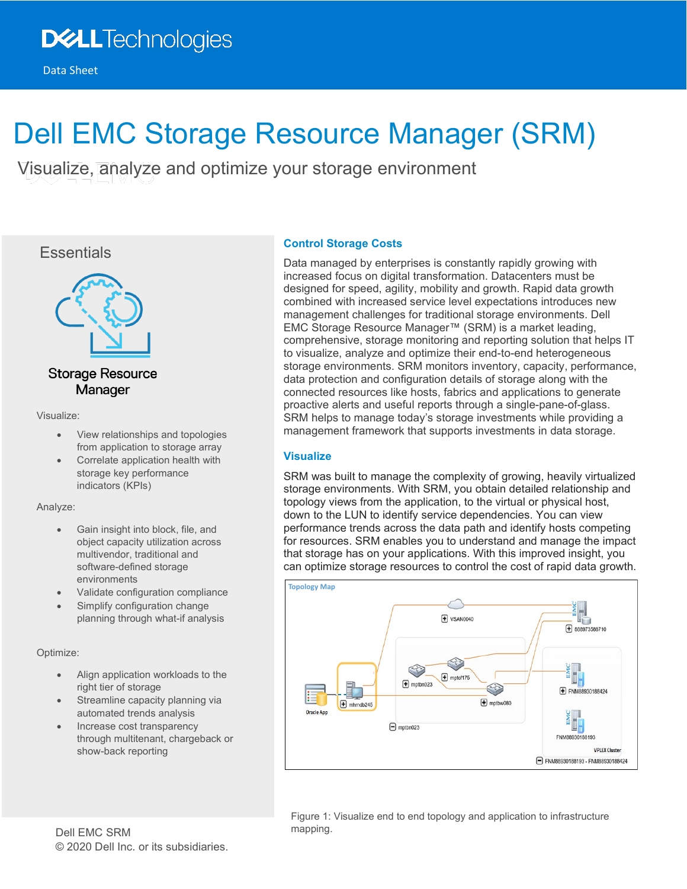# Dell EMC Storage Resource Manager (SRM)

Visualize, analyze and optimize your storage environment





## **Storage Resource** Manager

Visualize:

- View relationships and topologies from application to storage array
- Correlate application health with storage key performance indicators (KPIs)

## Analyze:

- Gain insight into block, file, and object capacity utilization across multivendor, traditional and software-defined storage environments
- Validate configuration compliance
- Simplify configuration change planning through what-if analysis

## Optimize:

- Align application workloads to the right tier of storage
- Streamline capacity planning via automated trends analysis
- Increase cost transparency through multitenant, chargeback or show-back reporting

## **Control Storage Costs**

Data managed by enterprises is constantly rapidly growing with increased focus on digital transformation. Datacenters must be designed for speed, agility, mobility and growth. Rapid data growth combined with increased service level expectations introduces new management challenges for traditional storage environments. Dell EMC Storage Resource Manager™ (SRM) is a market leading, comprehensive, storage monitoring and reporting solution that helps IT to visualize, analyze and optimize their end-to-end heterogeneous storage environments. SRM monitors inventory, capacity, performance, data protection and configuration details of storage along with the connected resources like hosts, fabrics and applications to generate proactive alerts and useful reports through a single-pane-of-glass. SRM helps to manage today's storage investments while providing a management framework that supports investments in data storage.

## **Visualize**

SRM was built to manage the complexity of growing, heavily virtualized storage environments. With SRM, you obtain detailed relationship and topology views from the application, to the virtual or physical host, down to the LUN to identify service dependencies. You can view performance trends across the data path and identify hosts competing for resources. SRM enables you to understand and manage the impact that storage has on your applications. With this improved insight, you can optimize storage resources to control the cost of rapid data growth.



Figure 1: Visualize end to end topology and application to infrastructure mapping.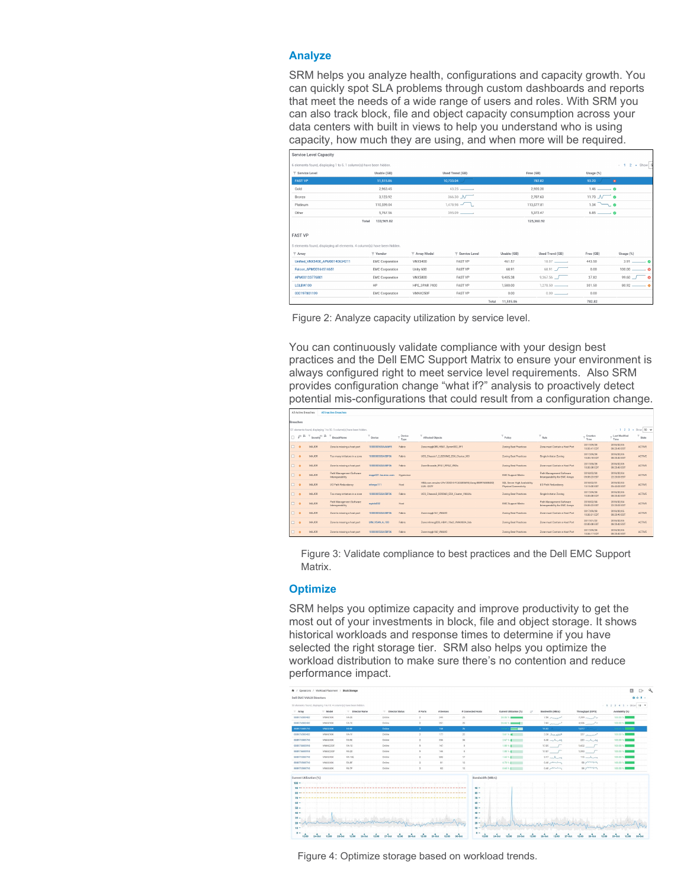#### **Analyze**

SRM helps you analyze health, configurations and capacity growth. You can quickly spot SLA problems through custom dashboards and reports that meet the needs of a wide range of users and roles. With SRM you can also track block, file and object capacity consumption across your data centers with built in views to help you understand who is using capacity, how much they are using, and when more will be required.

| Service Level Capacity                                                                     |                        |                      |                            |                   |                              |                             |                                       |
|--------------------------------------------------------------------------------------------|------------------------|----------------------|----------------------------|-------------------|------------------------------|-----------------------------|---------------------------------------|
| 6 elements found, displaying 1 to 5, 1 column(s) have been hidden.                         |                        |                      |                            |                   |                              |                             | $\leftarrow$ 1 2 $\rightarrow$ Show 5 |
| <b>T</b> Service Level                                                                     | Usable (GB)            |                      | Used Trend (GB)            |                   | Free (GB)                    | Usage (%)                   |                                       |
| <b>FAST VP</b>                                                                             | 11.515.86              |                      | 10,733.04                  |                   | 782.82                       | 93.20                       | $^{\circ}$                            |
| Gold                                                                                       | 2.963.45               |                      | 43.25                      |                   | 2,920.20                     | $1.46$ $-$ 0                |                                       |
| Bronze                                                                                     | 3.123.92               |                      | 366.30 N                   |                   | 2.707.63                     | $11.73 \text{ N}$ $\bullet$ |                                       |
| Platinum                                                                                   | 110,599.04             |                      | $1.478.98$ $-$             |                   | 113,577.81                   | $1.34$ $\rightarrow$        |                                       |
| Other                                                                                      | 5.767.56               |                      | $395.09$ $\longrightarrow$ |                   | 5.372.47                     | $6.85$ $\longrightarrow$ 0  |                                       |
| Total                                                                                      |                        |                      |                            | 125,360.92        |                              |                             |                                       |
| <b>FAST VP</b><br>5 elements found, displaying all elements. 4 column(s) have been hidden. |                        |                      |                            |                   |                              |                             |                                       |
| $T$ Array                                                                                  | $\top$ Vendor          | T Array Model        | <b>Y</b> Service Level     | Usable (GB)       | Used Trend (GB)              | Free (GB)                   | Usage (%)                             |
| Unified VNX5400 APM00140634211                                                             | <b>EMC Corporation</b> | VNX5400              | <b>FAST VP</b>             | 461.57            | $18.07$ $\longrightarrow$    | 443.50                      | $3.91$ $\longrightarrow$ 0            |
| Falcon_APM00164514651                                                                      | <b>EMC Corporation</b> | Unity 600            | <b>FAST VP</b>             | 68.91             | 68.91 /                      | 0.00                        | $100.00$ $\qquad \qquad$ . $\Theta$   |
| APM00133776801                                                                             | <b>EMC Corporation</b> | <b>VNX5800</b>       | <b>FAST VP</b>             | 9,405.38          | $9,367.56$ $\Box$            | 37.82                       | $99.60$ $-$<br>ం                      |
| LGLBW100                                                                                   | HP                     | <b>HPE 3PAR 7400</b> | <b>FAST VP</b>             | 1,580.00          | $1.278.50$ $\longrightarrow$ | 301.50                      | $80.92$ $\longrightarrow$ $\bullet$   |
| 000197801199                                                                               | <b>EMC Corporation</b> | VMAX250F             | <b>FAST VP</b>             | 0.00              |                              | 0.00                        |                                       |
|                                                                                            |                        |                      |                            | With the main out |                              | 7500.00                     |                                       |



You can continuously validate compliance with your design best practices and the Dell EMC Support Matrix to ensure your environment is always configured right to meet service level requirements. Also SRM provides configuration change "what if?" analysis to proactively detect potential mis-configurations that could result from a configuration change.

|        | All Active Breaches<br>All Inactive Breaches                                                    |                                                         |                                              |                     |                |                                                                        |                                                       |                                                             |                            |                            |               |  |  |  |
|--------|-------------------------------------------------------------------------------------------------|---------------------------------------------------------|----------------------------------------------|---------------------|----------------|------------------------------------------------------------------------|-------------------------------------------------------|-------------------------------------------------------------|----------------------------|----------------------------|---------------|--|--|--|
|        | Breaches                                                                                        |                                                         |                                              |                     |                |                                                                        |                                                       |                                                             |                            |                            |               |  |  |  |
|        | $+ 1 2 3 + 5$ how 50 \<br>121 elements found, displaying 1 to 50, 5 column(s) have been hidden. |                                                         |                                              |                     |                |                                                                        |                                                       |                                                             |                            |                            |               |  |  |  |
|        |                                                                                                 | $\beta^{(i)}$ H $\top$ Severity <sup>(1)</sup> H $\top$ | BreachName                                   | Device              | Device<br>Type | Affected Objects                                                       | Policy                                                | <b>Rule</b>                                                 | Creation<br>Time           | Last Modified<br>Time      | State         |  |  |  |
|        | $\Box$ $\bullet$                                                                                | MAJOR.                                                  | Zone is missing a host port                  | 1000000533AAA6FR    | Fabric         | Zone:mogb089_HBA1_Symm932_9F1                                          | Zoning Best Practices                                 | Zone must Contain a Host Port                               | 2017/09/28<br>10:33:41 EDT | 2018/02/05<br>08:20:40 EST | ACTIVE        |  |  |  |
| $\Box$ | $\bullet$                                                                                       | MAJOR.                                                  | Too many initiators in a zone                | 1000000533A5BF06    | Fabric         | UCS Chassis1 2 B250M2 ESX Cluster XIO                                  | Zoning Beat Practices                                 | Single Initiator Zoning                                     | 2017/09/28<br>10:35:18 EDT | 2018/02/05<br>08:20:40 EST | <b>ACTIVE</b> |  |  |  |
| $\Box$ | $\bullet$                                                                                       | MAJOR.                                                  | Zone is missing a host port                  | 1000000533A58F06    | Febric         | Zone:Brocade RPA1 RPA2 VNXs                                            | Zoning Best Practices                                 | Zone must Contain a Host Port                               | 2017/09/28<br>10.33.38 EDT | 2018/02/05<br>08:20:40 EST | ACTIVE        |  |  |  |
| $\Box$ | $\triangle$                                                                                     | MAJOR.                                                  | Path Management Software<br>Intercoerability | mode021.las.emc.com | Hypervisor     |                                                                        | <b>EMC Support Matrix</b>                             | Path Management Software<br>Intercoerability for FMC Arrays | 2018/02/04<br>05:35:23 EST | 2018/02/04<br>22:20:00 EST | <b>ACTIVE</b> |  |  |  |
| $\Box$ | $\bullet$                                                                                       | MAJOR                                                   | <b>VO Path Redundancy</b>                    | mhmoe111            | Host           | HBA:com.emules-LPe12002-E-FC40485695  Array:8899765884821<br>LUN: 037F | SOL Server High Availability<br>Physical Connectivity | <b>I/O Path Redundancy</b>                                  | 2018/02/01<br>13:15:00 EST | 2018/02/03<br>05:43:00 EST | <b>ACTIVE</b> |  |  |  |
| $\Box$ | $\bullet$                                                                                       | MAJOR                                                   | Too many initiators in a zone                | 1000000533A5BF06    | Febric         | UCS. Chassis3. B200M3. ESX. Cluster. VMAXs                             | Zoning Best Practices                                 | Single Initiator Zoning                                     | 2017/09/28<br>10:35:00 EDT | 2018/02/05<br>08:20:40 EST | <b>ACTIVE</b> |  |  |  |
| $\Box$ | $\ddot{\bullet}$                                                                                | MA.IOR                                                  | Path Management Software<br>Intercogrability | mptcb052            | Host           |                                                                        | <b>EMC Support Matrix</b>                             | Path Management Software<br>Intercoerability for EMC Arrays | 2018/02/04<br>05:35:23 EST | 2018/02/04<br>22:20:00 EST | <b>ACTIVE</b> |  |  |  |
| $\Box$ | $\bullet$                                                                                       | MAJOR.                                                  | Zone is missing a host port                  | 1000000533A58F06    | Febric         | Zone:mopb161 VMAX2                                                     | Zoning Best Practices                                 | Zone must Contain a Host Port                               | 2017/09/28<br>10:33:31 EDT | 2018/02/05<br>08:20:40 EST | ACTIVE        |  |  |  |
| $\Box$ | $\bullet$                                                                                       | MAJOR.                                                  | Zone is missing a host port                  | UM_VSAN_A_100       | Fabrio         | Zone:mhmcq028_HBA1_16e2_VMAX604_2eb                                    | Zoning Best Practices                                 | Zone must Contain a Host Port                               | 2017/01/22<br>02:00:08 EST | 2018/02/05<br>08:20:40 EST | ACTIVE        |  |  |  |
|        | $\square$ $\circ$                                                                               | MAJOR.                                                  | Zone la missing a host port                  | 1000000533A58F06    | Febric         | Zone:mopb160 VMAX2                                                     | Zoning Best Practices                                 | Zone must Contain a Host Port                               | 2017/09/28<br>10:34:17 EDT | 2018/02/05<br>08:20:40 EST | <b>ACTIVE</b> |  |  |  |

Figure 3: Validate compliance to best practices and the Dell EMC Support Matrix.

#### **Optimize**

SRM helps you optimize capacity and improve productivity to get the most out of your investments in block, file and object storage. It shows historical workloads and response times to determine if you have selected the right storage tier. SRM also helps you optimize the workload distribution to make sure there's no contention and reduce performance impact.

|                         | ← / Constions / Workload Placement / Block Storage |                                                                      |                   |                  |           |                   |                          |                                  |                     | ra.                          |
|-------------------------|----------------------------------------------------|----------------------------------------------------------------------|-------------------|------------------|-----------|-------------------|--------------------------|----------------------------------|---------------------|------------------------------|
| Dell EMC VMAX Directors |                                                    |                                                                      |                   |                  |           |                   |                          |                                  |                     | 自小 8 。                       |
|                         |                                                    | 50 elements found, displaying 1 to 10. 4 column(s) have been hidden. |                   |                  |           |                   |                          |                                  |                     | $+ 1 2 3 4 5 + 5$ how 10 $+$ |
| $=$ Array               | $-$ Model                                          | - Director Name                                                      | - Director Status | # Ports          | # Devices | # Connected Hosts | Current Utilization (%)  | Bandwidth (MB/c)<br>$17^{\circ}$ | Throughput (IOPS)   | Availability (%)             |
| <b>BIES765BRAR2</b>     | VMAX10K                                            | FA-2E                                                                | Online            | $\overline{2}$   | 249       | 25                | 36.06%                   | $7.56$ procedured                | $7,399$             | 100.00 %                     |
| 888976588482            | VMAX10K                                            | FA-1E                                                                | Online            | $\overline{2}$   | 251       | 28                | $26.66$ % $\frac{1}{25}$ | 7.65                             | $4936$ / $\sim$     | 100.00 %                     |
| 000973588710            | <b>VMAX40K</b>                                     | <b>EN-RF</b>                                                         | Online            | $\mathbf{z}$     | 1581      | 26                | $=$                      | 15.52 (1999)                     | 1,077               | 1001036 200                  |
| 888976588482            | VMAX10K                                            | F&1F                                                                 | Online            | $\boldsymbol{2}$ | 177       | 22                | 5.61% 图                  | 3.38 August                      | $327$ Annual        | 100.00%                      |
| 856973588710            | VMAX40K                                            | FA-RE                                                                | Online            | $\mathbf{z}$     | 355       | 34                | 2.67% 图                  | $M_{\nu\mu}$                     | $223 - A - A$       | 100.00%                      |
| 858975688918            | VMAX250F                                           | FA-10                                                                | Online            | $\mathbf{Q}$     | 147       | $\circ$           | $1.88 \times 1$          | $17.05$ $7$                      | $1.602$ $\qquad$    | 100.00%                      |
| 888975688918            | VMAX250F                                           | FA-2D                                                                | Online            | $\sim$           | 146       | $\circ$           | $1.88 \times 1$          | 17.07 /                          | 1,593               | 100.00 %                     |
| <b>BIS973588710</b>     | VMAX40K                                            | FA-10E                                                               | Online            | $\overline{2}$   | 282       | 17                | 1.65%                    | $3.17 - A$                       | 115                 | 100.00 %                     |
| 888973588710            | VMAX40K                                            | FA-8F                                                                | Online            | $\mathfrak{D}$   | 81        | 12                | 0.73%                    | $0.40$ pointing                  | <b>SS providing</b> | 100.00%                      |
| 000073588710            | VMAX40K                                            | FA-7F                                                                | Online:           | $\mathbf{2}$     | 02        | 12                | $0.65 \times 1$          | $0.40$ pointing                  | 58 yours from       | 100.00%                      |
| Current Utilization (%) |                                                    |                                                                      |                   |                  |           | Bandwidth (MB/s)  |                          |                                  |                     |                              |
| $100 -$                 |                                                    |                                                                      |                   |                  |           |                   |                          |                                  |                     |                              |
| 95 <sub>1</sub>         |                                                    |                                                                      |                   |                  |           | $90 -$            |                          |                                  |                     |                              |
|                         |                                                    |                                                                      |                   |                  |           | $80 -$            |                          |                                  |                     |                              |
| $70 -$                  |                                                    |                                                                      |                   |                  |           | $70 -$            |                          |                                  |                     |                              |
| $AB =$                  |                                                    |                                                                      |                   |                  |           | $60 -$            |                          |                                  |                     |                              |
| $50 -$                  |                                                    |                                                                      |                   |                  |           | $50 -$            |                          |                                  |                     |                              |
| $40 -$<br>$30 -$        |                                                    |                                                                      |                   |                  |           | $40 -$<br>$30 -$  |                          |                                  |                     |                              |
| $20 -$                  |                                                    |                                                                      |                   |                  |           | $20 -$            |                          |                                  |                     |                              |
| $10 -$                  |                                                    |                                                                      |                   |                  |           | $10 -$            |                          |                                  |                     |                              |
| $0 -$                   |                                                    |                                                                      |                   |                  |           | $0 -$             |                          |                                  |                     |                              |

Figure 4: Optimize storage based on workload trends.